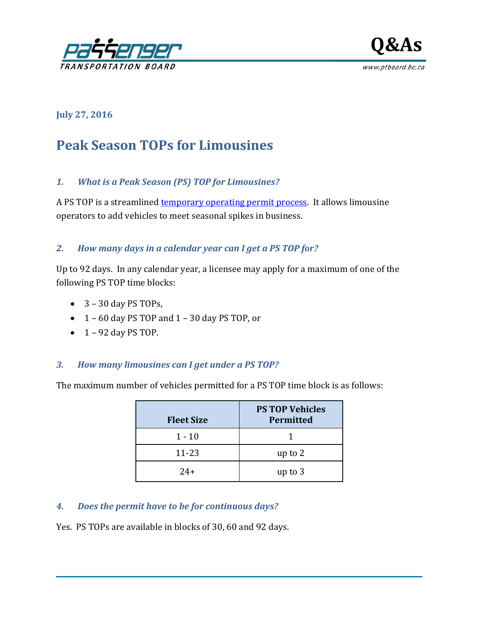



**July 27, 2016**

# **Peak Season TOPs for Limousines**

#### *1. What is a Peak Season (PS) TOP for Limousines?*

A PS TOP is a streamlined [temporary operating permit process.](http://www.ptboard.bc.ca/applications_limo.htm#tabs-5) It allows limousine operators to add vehicles to meet seasonal spikes in business.

## *2. How many days in a calendar year can I get a PS TOP for?*

Up to 92 days. In any calendar year, a licensee may apply for a maximum of one of the following PS TOP time blocks:

- $\bullet$  3 30 day PS TOPs,
- 1 60 day PS TOP and 1 30 day PS TOP, or
- $\bullet$  1 92 day PS TOP.

#### *3. How many limousines can I get under a PS TOP?*

The maximum number of vehicles permitted for a PS TOP time block is as follows:

| <b>Fleet Size</b> | <b>PS TOP Vehicles</b><br><b>Permitted</b> |
|-------------------|--------------------------------------------|
| $1 - 10$          |                                            |
| $11 - 23$         | up to 2                                    |
| $7.4+$            | up to 3                                    |

#### *4. Does the permit have to be for continuous days?*

Yes. PS TOPs are available in blocks of 30, 60 and 92 days.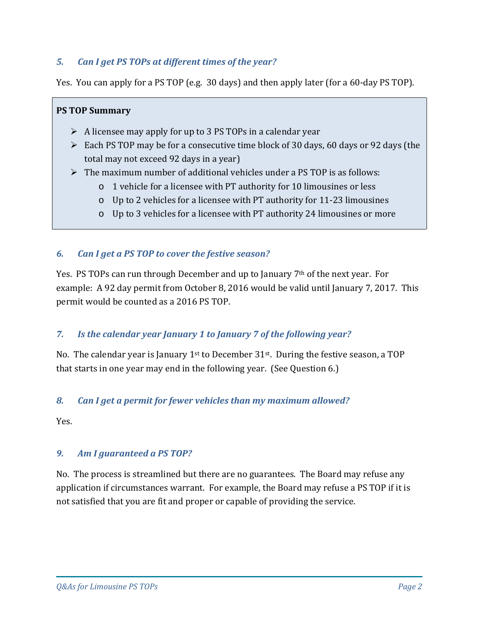# *5. Can I get PS TOPs at different times of the year?*

Yes. You can apply for a PS TOP (e.g. 30 days) and then apply later (for a 60-day PS TOP).

#### **PS TOP Summary**

- $\triangleright$  A licensee may apply for up to 3 PS TOPs in a calendar year
- $\triangleright$  Each PS TOP may be for a consecutive time block of 30 days, 60 days or 92 days (the total may not exceed 92 days in a year)
- $\triangleright$  The maximum number of additional vehicles under a PS TOP is as follows:
	- o 1 vehicle for a licensee with PT authority for 10 limousines or less
	- o Up to 2 vehicles for a licensee with PT authority for 11-23 limousines
	- o Up to 3 vehicles for a licensee with PT authority 24 limousines or more

## *6. Can I get a PS TOP to cover the festive season?*

Yes. PS TOPs can run through December and up to January 7th of the next year. For example: A 92 day permit from October 8, 2016 would be valid until January 7, 2017. This permit would be counted as a 2016 PS TOP.

## *7. Is the calendar year January 1 to January 7 of the following year?*

No. The calendar year is January  $1<sup>st</sup>$  to December 31 $<sup>st</sup>$ . During the festive season, a TOP</sup> that starts in one year may end in the following year. (See Question 6.)

#### *8. Can I get a permit for fewer vehicles than my maximum allowed?*

Yes.

## *9. Am I guaranteed a PS TOP?*

No. The process is streamlined but there are no guarantees. The Board may refuse any application if circumstances warrant. For example, the Board may refuse a PS TOP if it is not satisfied that you are fit and proper or capable of providing the service.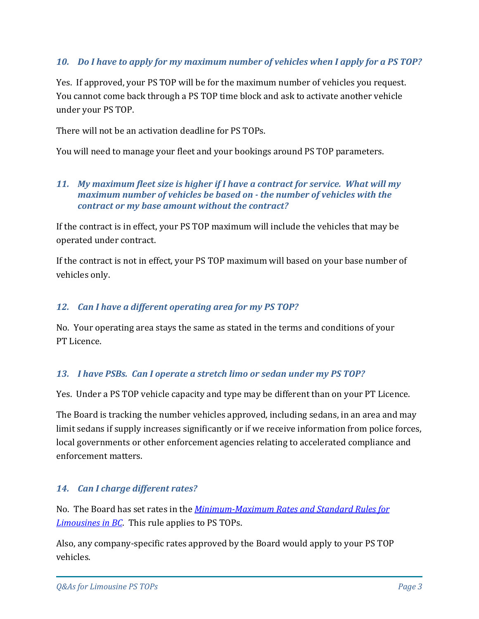## *10. Do I have to apply for my maximum number of vehicles when I apply for a PS TOP?*

Yes. If approved, your PS TOP will be for the maximum number of vehicles you request. You cannot come back through a PS TOP time block and ask to activate another vehicle under your PS TOP.

There will not be an activation deadline for PS TOPs.

You will need to manage your fleet and your bookings around PS TOP parameters.

#### *11. My maximum fleet size is higher if I have a contract for service. What will my maximum number of vehicles be based on - the number of vehicles with the contract or my base amount without the contract?*

If the contract is in effect, your PS TOP maximum will include the vehicles that may be operated under contract.

If the contract is not in effect, your PS TOP maximum will based on your base number of vehicles only.

#### *12. Can I have a different operating area for my PS TOP?*

No. Your operating area stays the same as stated in the terms and conditions of your PT Licence.

#### *13. I have PSBs. Can I operate a stretch limo or sedan under my PS TOP?*

Yes. Under a PS TOP vehicle capacity and type may be different than on your PT Licence.

The Board is tracking the number vehicles approved, including sedans, in an area and may limit sedans if supply increases significantly or if we receive information from police forces, local governments or other enforcement agencies relating to accelerated compliance and enforcement matters.

## *14. Can I charge different rates?*

No. The Board has set rates in the *[Minimum-Maximum Rates and Standard Rules for](http://www.ptboard.bc.ca/documents/rule-limo-rates-and-rules-bc.pdf)  [Limousines in BC](http://www.ptboard.bc.ca/documents/rule-limo-rates-and-rules-bc.pdf)*. This rule applies to PS TOPs.

Also, any company-specific rates approved by the Board would apply to your PS TOP vehicles.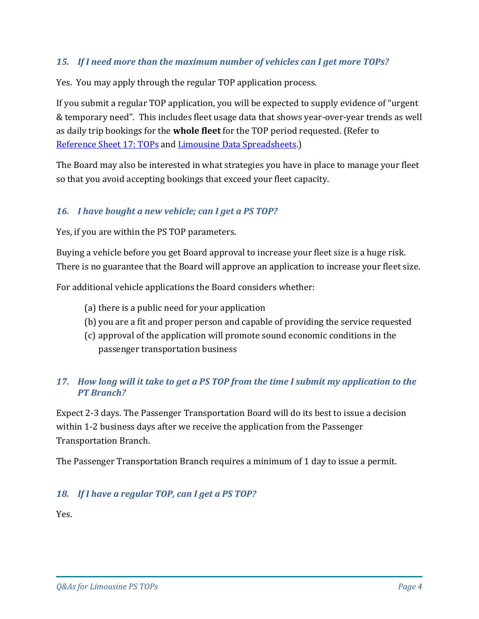## *15. If I need more than the maximum number of vehicles can I get more TOPs?*

Yes. You may apply through the regular TOP application process.

If you submit a regular TOP application, you will be expected to supply evidence of "urgent & temporary need". This includes fleet usage data that shows year-over-year trends as well as daily trip bookings for the **whole fleet** for the TOP period requested. (Refer to Reference [Sheet 17: TOPs](http://www.th.gov.bc.ca/forms/getForm.aspx?formId=1351) and [Limousine Data Spreadsheets.](http://www.th.gov.bc.ca/forms/getForm.aspx?formId=1326))

The Board may also be interested in what strategies you have in place to manage your fleet so that you avoid accepting bookings that exceed your fleet capacity.

## *16. I have bought a new vehicle; can I get a PS TOP?*

Yes, if you are within the PS TOP parameters.

Buying a vehicle before you get Board approval to increase your fleet size is a huge risk. There is no guarantee that the Board will approve an application to increase your fleet size.

For additional vehicle applications the Board considers whether:

- (a) there is a public need for your application
- (b) you are a fit and proper person and capable of providing the service requested
- (c) approval of the application will promote sound economic conditions in the passenger transportation business

# *17. How long will it take to get a PS TOP from the time I submit my application to the PT Branch?*

Expect 2-3 days. The Passenger Transportation Board will do its best to issue a decision within 1-2 business days after we receive the application from the Passenger Transportation Branch.

The Passenger Transportation Branch requires a minimum of 1 day to issue a permit.

## *18. If I have a regular TOP, can I get a PS TOP?*

Yes.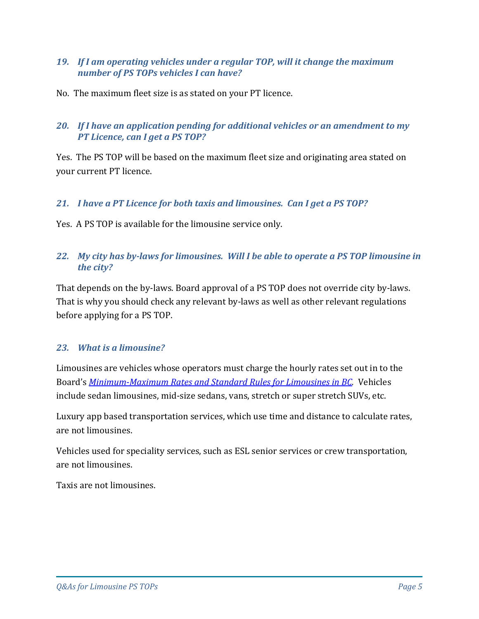#### *19. If I am operating vehicles under a regular TOP, will it change the maximum number of PS TOPs vehicles I can have?*

No. The maximum fleet size is as stated on your PT licence.

## *20. If I have an application pending for additional vehicles or an amendment to my PT Licence, can I get a PS TOP?*

Yes. The PS TOP will be based on the maximum fleet size and originating area stated on your current PT licence.

## *21. I have a PT Licence for both taxis and limousines. Can I get a PS TOP?*

Yes. A PS TOP is available for the limousine service only.

## *22. My city has by-laws for limousines. Will I be able to operate a PS TOP limousine in the city?*

That depends on the by-laws. Board approval of a PS TOP does not override city by-laws. That is why you should check any relevant by-laws as well as other relevant regulations before applying for a PS TOP.

## *23. What is a limousine?*

Limousines are vehicles whose operators must charge the hourly rates set out in to the Board's *[Minimum-Maximum Rates and Standard Rules for Limousines in BC.](http://www.ptboard.bc.ca/documents/rule-limo-rates-and-rules-bc.pdf)* Vehicles include sedan limousines, mid-size sedans, vans, stretch or super stretch SUVs, etc.

Luxury app based transportation services, which use time and distance to calculate rates, are not limousines.

Vehicles used for speciality services, such as ESL senior services or crew transportation, are not limousines.

Taxis are not limousines.